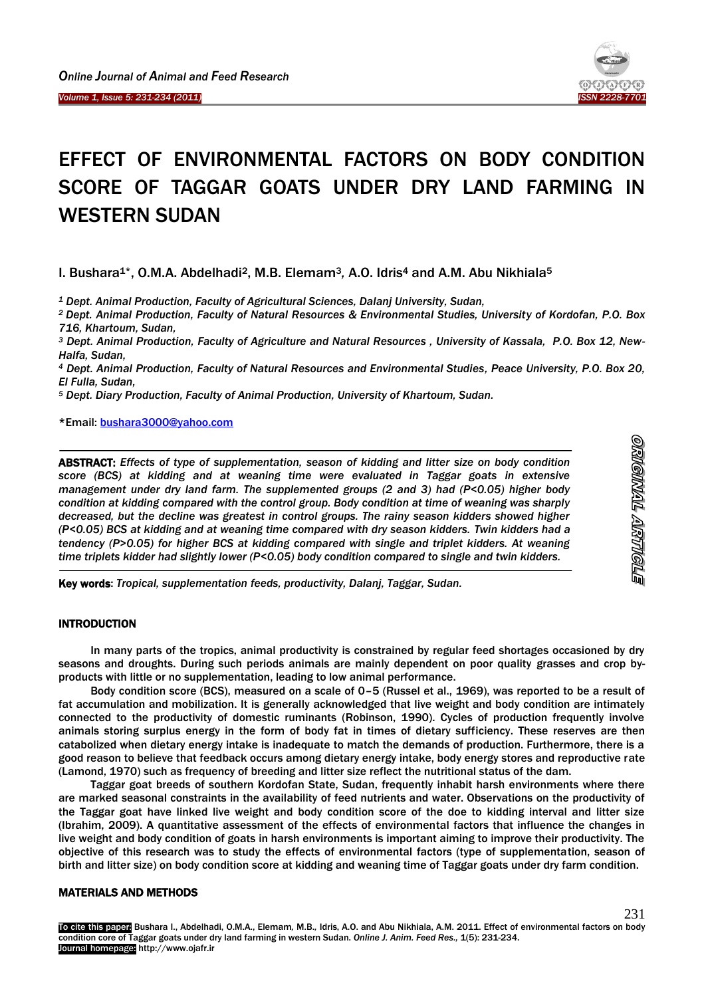



# EFFECT OF ENVIRONMENTAL FACTORS ON BODY CONDITION SCORE OF TAGGAR GOATS UNDER DRY LAND FARMING IN WESTERN SUDAN

I. Bushara1\*, O.M.A. Abdelhadi2, M.B. Elemam3*,* A.O. Idris<sup>4</sup> and A.M. Abu Nikhiala<sup>5</sup>

*<sup>1</sup> Dept. Animal Production, Faculty of Agricultural Sciences, Dalanj University, Sudan,* 

*<sup>2</sup>Dept. Animal Production, Faculty of Natural Resources & Environmental Studies, University of Kordofan, P.O. Box 716, Khartoum, Sudan,*

*<sup>3</sup> Dept. Animal Production, Faculty of Agriculture and Natural Resources , University of Kassala, P.O. Box 12, New-Halfa, Sudan,*

*<sup>4</sup> Dept. Animal Production, Faculty of Natural Resources and Environmental Studies, Peace University, P.O. Box 20, El Fulla, Sudan,*

*<sup>5</sup> Dept. Diary Production, Faculty of Animal Production, University of Khartoum, Sudan.*

\*Email: [bushara3000@yahoo.com](mailto:bushara3000@yahoo.com)

ABSTRACT: *Effects of type of supplementation, season of kidding and litter size on body condition score (BCS) at kidding and at weaning time were evaluated in Taggar goats in extensive management under dry land farm. The supplemented groups (2 and 3) had (P<0.05) higher body condition at kidding compared with the control group. Body condition at time of weaning was sharply decreased, but the decline was greatest in control groups. The rainy season kidders showed higher (P<0.05) BCS at kidding and at weaning time compared with dry season kidders. Twin kidders had a tendency (P>0.05) for higher BCS at kidding compared with single and triplet kidders. At weaning time triplets kidder had slightly lower (P<0.05) body condition compared to single and twin kidders.*

Key words: *Tropical, supplementation feeds, productivity, Dalanj, Taggar, Sudan.*

## **INTRODUCTION**

<u>.</u>

1

In many parts of the tropics, animal productivity is constrained by regular feed shortages occasioned by dry seasons and droughts. During such periods animals are mainly dependent on poor quality grasses and crop byproducts with little or no supplementation, leading to low animal performance.

Body condition score (BCS), measured on a scale of 0–5 (Russel et al., 1969), was reported to be a result of fat accumulation and mobilization. It is generally acknowledged that live weight and body condition are intimately connected to the productivity of domestic ruminants (Robinson, 1990). Cycles of production frequently involve animals storing surplus energy in the form of body fat in times of dietary sufficiency. These reserves are then catabolized when dietary energy intake is inadequate to match the demands of production. Furthermore, there is a good reason to believe that feedback occurs among dietary energy intake, body energy stores and reproductive rate (Lamond, 1970) such as frequency of breeding and litter size reflect the nutritional status of the dam.

Taggar goat breeds of southern Kordofan State, Sudan, frequently inhabit harsh environments where there are marked seasonal constraints in the availability of feed nutrients and water. Observations on the productivity of the Taggar goat have linked live weight and body condition score of the doe to kidding interval and litter size (Ibrahim, 2009). A quantitative assessment of the effects of environmental factors that influence the changes in live weight and body condition of goats in harsh environments is important aiming to improve their productivity. The objective of this research was to study the effects of environmental factors (type of supplementation, season of birth and litter size) on body condition score at kidding and weaning time of Taggar goats under dry farm condition.

# MATERIALS AND METHODS

To cite this paper: Bushara I., Abdelhadi, O.M.A., Elemam*,* M.B.*,* Idris, A.O. and Abu Nikhiala, A.M. 2011. Effect of environmental factors on body condition core of Taggar goats under dry land farming in western Sudan. *Online J. Anim. Feed Res.,* 1(5): 231-234. Journal homepage: http://www.ojafr.ir

231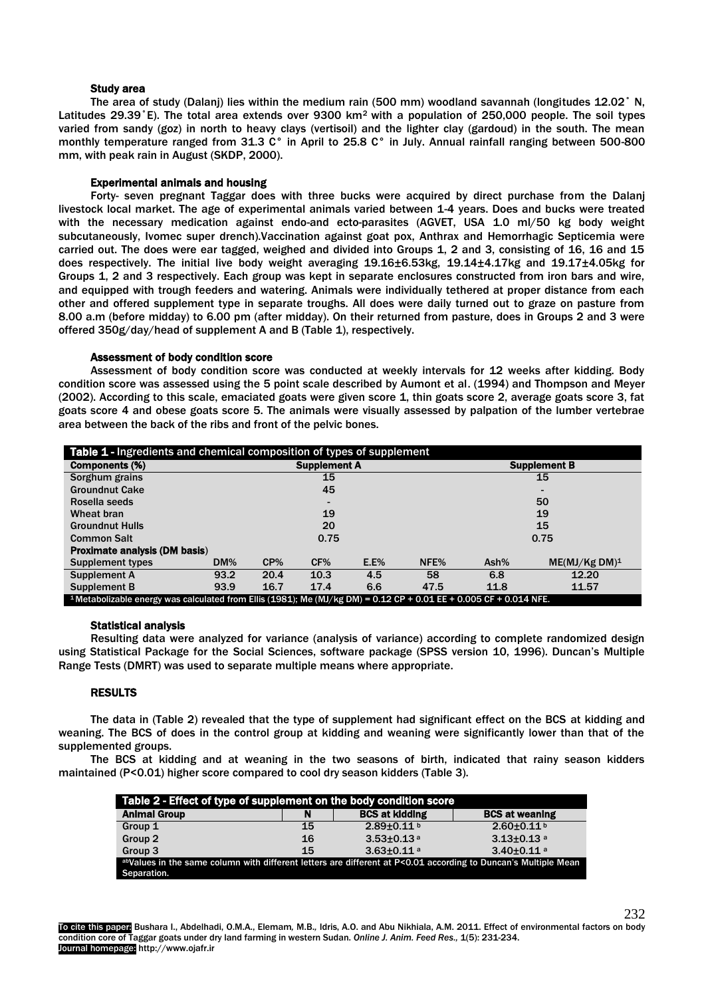#### Study area

The area of study (Dalanj) lies within the medium rain (500 mm) woodland savannah (longitudes 12.02˚ N, Latitudes 29.39°E). The total area extends over 9300 km<sup>2</sup> with a population of 250,000 people. The soil types varied from sandy (goz) in north to heavy clays (vertisoil) and the lighter clay (gardoud) in the south. The mean monthly temperature ranged from 31.3 C° in April to 25.8 C° in July. Annual rainfall ranging between 500-800 mm, with peak rain in August (SKDP, 2000).

## Experimental animals and housing

Forty- seven pregnant Taggar does with three bucks were acquired by direct purchase from the Dalanj livestock local market. The age of experimental animals varied between 1-4 years. Does and bucks were treated with the necessary medication against endo-and ecto-parasites (AGVET, USA 1.0 ml/50 kg body weight subcutaneously, Ivomec super drench).Vaccination against goat pox, Anthrax and Hemorrhagic Septicemia were carried out. The does were ear tagged, weighed and divided into Groups 1, 2 and 3, consisting of 16, 16 and 15 does respectively. The initial live body weight averaging 19.16±6.53kg, 19.14±4.17kg and 19.17±4.05kg for Groups 1, 2 and 3 respectively. Each group was kept in separate enclosures constructed from iron bars and wire, and equipped with trough feeders and watering. Animals were individually tethered at proper distance from each other and offered supplement type in separate troughs. All does were daily turned out to graze on pasture from 8.00 a.m (before midday) to 6.00 pm (after midday). On their returned from pasture, does in Groups 2 and 3 were offered 350g/day/head of supplement A and B (Table 1), respectively.

#### Assessment of body condition score

Assessment of body condition score was conducted at weekly intervals for 12 weeks after kidding. Body condition score was assessed using the 5 point scale described by Aumont et al. (1994) and Thompson and Meyer (2002). According to this scale, emaciated goats were given score 1, thin goats score 2, average goats score 3, fat goats score 4 and obese goats score 5. The animals were visually assessed by palpation of the lumber vertebrae area between the back of the ribs and front of the pelvic bones.

| Table 1 - Ingredients and chemical composition of types of supplement                                                                 |        |                     |      |         |      |      |                           |
|---------------------------------------------------------------------------------------------------------------------------------------|--------|---------------------|------|---------|------|------|---------------------------|
| Components (%)                                                                                                                        |        | <b>Supplement A</b> |      |         |      |      | <b>Supplement B</b>       |
| Sorghum grains                                                                                                                        |        | 15                  |      |         |      | 15   |                           |
| <b>Groundnut Cake</b>                                                                                                                 |        | 45                  |      |         |      |      |                           |
| Rosella seeds                                                                                                                         |        |                     |      |         |      | 50   |                           |
| Wheat bran                                                                                                                            |        | 19                  |      |         |      | 19   |                           |
| <b>Groundnut Hulls</b>                                                                                                                |        | 20                  |      |         |      | 15   |                           |
| <b>Common Salt</b>                                                                                                                    |        | 0.75                |      |         |      | 0.75 |                           |
| <b>Proximate analysis (DM basis)</b>                                                                                                  |        |                     |      |         |      |      |                           |
| <b>Supplement types</b>                                                                                                               | $DM\%$ | CP%                 | CF%  | $E.E\%$ | NFE% | Ash% | ME(MJ/Kg DM) <sup>1</sup> |
| Supplement A                                                                                                                          | 93.2   | 20.4                | 10.3 | 4.5     | 58   | 6.8  | 12.20                     |
| Supplement B                                                                                                                          | 93.9   | 16.7                | 17.4 | 6.6     | 47.5 | 11.8 | 11.57                     |
| <sup>1</sup> Metabolizable energy was calculated from Ellis (1981); Me (MJ/kg DM) = $0.12$ CP + $0.01$ EE + $0.005$ CF + $0.014$ NFE. |        |                     |      |         |      |      |                           |

# Statistical analysis

Resulting data were analyzed for variance (analysis of variance) according to complete randomized design using Statistical Package for the Social Sciences, software package (SPSS version 10, 1996). Duncan's Multiple Range Tests (DMRT) was used to separate multiple means where appropriate.

# RESULTS

The data in (Table 2) revealed that the type of supplement had significant effect on the BCS at kidding and weaning. The BCS of does in the control group at kidding and weaning were significantly lower than that of the supplemented groups.

The BCS at kidding and at weaning in the two seasons of birth, indicated that rainy season kidders maintained (P<0.01) higher score compared to cool dry season kidders (Table 3).

| Table 2 - Effect of type of supplement on the body condition score                                             |    |                              |                              |  |  |
|----------------------------------------------------------------------------------------------------------------|----|------------------------------|------------------------------|--|--|
| <b>Animal Group</b>                                                                                            | N  | <b>BCS at kidding</b>        | <b>BCS at weaning</b>        |  |  |
| Group 1                                                                                                        | 15 | $2.89 \pm 0.11$ b            | $2.60 + 0.11$                |  |  |
| Group 2                                                                                                        | 16 | $3.53 \pm 0.13$ <sup>a</sup> | $3.13 \pm 0.13$ <sup>a</sup> |  |  |
| Group 3                                                                                                        | 15 | $3.63 \pm 0.11$ <sup>a</sup> | $3.40 \pm 0.11$ <sup>a</sup> |  |  |
| abValues in the same column with different letters are different at P<0.01 according to Duncan's Multiple Mean |    |                              |                              |  |  |
| Separation.                                                                                                    |    |                              |                              |  |  |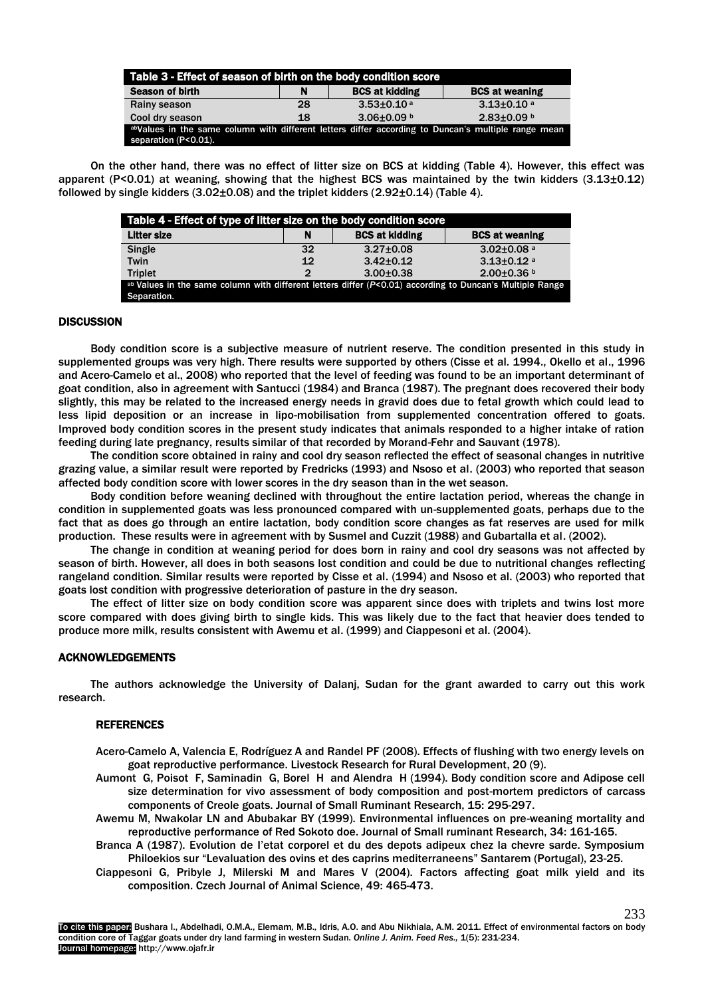| Table 3 - Effect of season of birth on the body condition score                                                             |    |                              |                              |  |  |
|-----------------------------------------------------------------------------------------------------------------------------|----|------------------------------|------------------------------|--|--|
| <b>Season of birth</b>                                                                                                      | N  | <b>BCS at kidding</b>        | <b>BCS at weaning</b>        |  |  |
| Rainy season                                                                                                                | 28 | $3.53 \pm 0.10$ <sup>a</sup> | $3.13 \pm 0.10$ <sup>a</sup> |  |  |
| Cool dry season                                                                                                             | 18 | $3.06\pm0.09$ b              | $2.83 \pm 0.09$ b            |  |  |
| abValues in the same column with different letters differ according to Duncan's multiple range mean<br>separation (P<0.01). |    |                              |                              |  |  |

On the other hand, there was no effect of litter size on BCS at kidding (Table 4). However, this effect was apparent (P<0.01) at weaning, showing that the highest BCS was maintained by the twin kidders  $(3.13\pm0.12)$ followed by single kidders  $(3.02\pm0.08)$  and the triplet kidders  $(2.92\pm0.14)$  (Table 4).

| Table 4 - Effect of type of litter size on the body condition score                                      |               |                       |                              |  |  |
|----------------------------------------------------------------------------------------------------------|---------------|-----------------------|------------------------------|--|--|
| <b>Litter size</b>                                                                                       | N             | <b>BCS at kidding</b> | <b>BCS at weaning</b>        |  |  |
| Single                                                                                                   | 32            | $3.27 \pm 0.08$       | $3.02 \pm 0.08$ <sup>a</sup> |  |  |
| Twin                                                                                                     | 12            | $3.42 \pm 0.12$       | $3.13 \pm 0.12$ <sup>a</sup> |  |  |
| <b>Triplet</b>                                                                                           | $\mathcal{P}$ | $3.00 \pm 0.38$       | $2.00\pm0.36$ b              |  |  |
| ab Values in the same column with different letters differ (P<0.01) according to Duncan's Multiple Range |               |                       |                              |  |  |
| Separation.                                                                                              |               |                       |                              |  |  |

#### **DISCUSSION**

Body condition score is a subjective measure of nutrient reserve. The condition presented in this study in supplemented groups was very high. There results were supported by others (Cisse et al. 1994., Okello et al., 1996 and Acero-Camelo et al., 2008) who reported that the level of feeding was found to be an important determinant of goat condition, also in agreement with Santucci (1984) and Branca (1987). The pregnant does recovered their body slightly, this may be related to the increased energy needs in gravid does due to fetal growth which could lead to less lipid deposition or an increase in lipo-mobilisation from supplemented concentration offered to goats. Improved body condition scores in the present study indicates that animals responded to a higher intake of ration feeding during late pregnancy, results similar of that recorded by Morand-Fehr and Sauvant (1978).

The condition score obtained in rainy and cool dry season reflected the effect of seasonal changes in nutritive grazing value, a similar result were reported by Fredricks (1993) and Nsoso et al. (2003) who reported that season affected body condition score with lower scores in the dry season than in the wet season.

Body condition before weaning declined with throughout the entire lactation period, whereas the change in condition in supplemented goats was less pronounced compared with un-supplemented goats, perhaps due to the fact that as does go through an entire lactation, body condition score changes as fat reserves are used for milk production. These results were in agreement with by Susmel and Cuzzit (1988) and Gubartalla et al. (2002).

The change in condition at weaning period for does born in rainy and cool dry seasons was not affected by season of birth. However, all does in both seasons lost condition and could be due to nutritional changes reflecting rangeland condition. Similar results were reported by Cisse et al. (1994) and Nsoso et al. (2003) who reported that goats lost condition with progressive deterioration of pasture in the dry season.

The effect of litter size on body condition score was apparent since does with triplets and twins lost more score compared with does giving birth to single kids. This was likely due to the fact that heavier does tended to produce more milk, results consistent with Awemu et al. (1999) and Ciappesoni et al. (2004).

#### ACKNOWLEDGEMENTS

The authors acknowledge the University of Dalanj, Sudan for the grant awarded to carry out this work research.

#### **REFERENCES**

- Acero-Camelo A, Valencia E, Rodríguez A and Randel PF (2008). Effects of flushing with two energy levels on goat reproductive performance. [Livestock Research for Rural Development,](http://www.cipav.org.co/lrrd/lrrd7/1/cont71.htm) 20 (9).
- Aumont G, Poisot F, Saminadin G, Borel H and Alendra H (1994). Body condition score and Adipose cell size determination for vivo assessment of body composition and post-mortem predictors of carcass components of Creole goats. Journal of Small Ruminant Research, 15: 295-297.
- Awemu M, Nwakolar LN and Abubakar BY (1999). Environmental influences on pre-weaning mortality and reproductive performance of Red Sokoto doe. Journal of Small ruminant Research, 34: 161-165.
- Branca A (1987). Evolution de I'etat corporel et du des depots adipeux chez la chevre sarde. Symposium Philoekios sur "Levaluation des ovins et des caprins mediterraneens" Santarem (Portugal), 23-25.
- Ciappesoni G, Pribyle J, Milerski M and Mares V (2004). Factors affecting goat milk yield and its composition. Czech Journal of Animal Science, 49: 465-473.